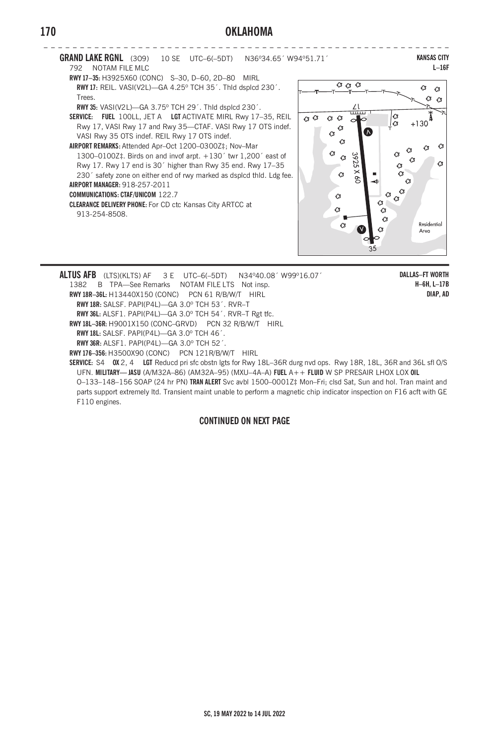## **170 OKLAHOMA**





**ALTUS AFB** (LTS)(KLTS) AF 3 E UTC–6(–5DT) N34º40.08´ W99º16.07´ 1382 B TPA—See Remarks NOTAM FILE LTS Not insp. **RWY 18R–36L:** H13440X150 (CONC) PCN 61 R/B/W/T HIRL **RWY 18R:** SALSF. PAPI(P4L)—GA 3.0º TCH 53´. RVR–T **RWY 36L:** ALSF1. PAPI(P4L)—GA 3.0º TCH 54´. RVR–T Rgt tfc. **RWY 18L–36R:** H9001X150 (CONC–GRVD) PCN 32 R/B/W/T HIRL **RWY 18L:** SALSF. PAPI(P4L)—GA 3.0º TCH 46´. **RWY 36R:** ALSF1. PAPI(P4L)—GA 3.0º TCH 52´. **RWY 176–356:** H3500X90 (CONC) PCN 121R/B/W/T HIRL **SERVICE:** S4 **OX** 2, 4 **LGT** Reducd pri sfc obstn lgts for Rwy 18L–36R durg nvd ops. Rwy 18R, 18L, 36R and 36L sfl O/S

UFN. **MILITARY— JASU** (A/M32A–86) (AM32A–95) (MXU–4A–A) **FUEL** A++ **FLUID** W SP PRESAIR LHOX LOX **OIL** O–133–148–156 SOAP (24 hr PN) **TRAN ALERT** Svc avbl 1500–0001Z‡ Mon–Fri; clsd Sat, Sun and hol. Tran maint and parts support extremely ltd. Transient maint unable to perform a magnetic chip indicator inspection on F16 acft with GE F110 engines.

## **CONTINUED ON NEXT PAGE**

**KANSAS CITY L–16F**

Ø  $\alpha$  $\circ$ 

 $\mathcal{C}$ 

Residential

Area

 $\alpha$  $\ddot{\mathcal{C}}$  $\sigma$   $\alpha$ 

 $+130$ 

 $\alpha$ 

 $\ddot{\mathcal{C}}$ 

35